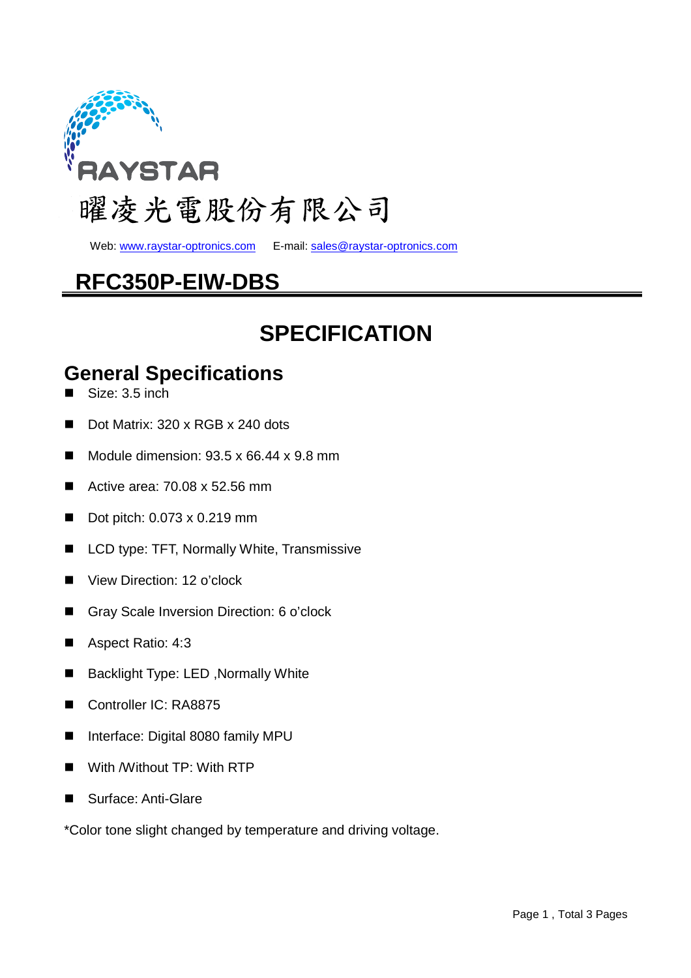

Web: www.raystar-optronics.com E-mail: sales@raystar-optronics.com

## **RFC350P-EIW-DBS**

## **SPECIFICATION**

#### **General Specifications**

- Size: 3.5 inch
- Dot Matrix: 320 x RGB x 240 dots
- Module dimension:  $93.5 \times 66.44 \times 9.8$  mm
- Active area: 70.08 x 52.56 mm
- Dot pitch:  $0.073 \times 0.219$  mm
- LCD type: TFT, Normally White, Transmissive
- View Direction: 12 o'clock
- Gray Scale Inversion Direction: 6 o'clock
- Aspect Ratio: 4:3
- Backlight Type: LED, Normally White
- Controller IC: RA8875
- Interface: Digital 8080 family MPU
- With /Without TP: With RTP
- Surface: Anti-Glare

\*Color tone slight changed by temperature and driving voltage.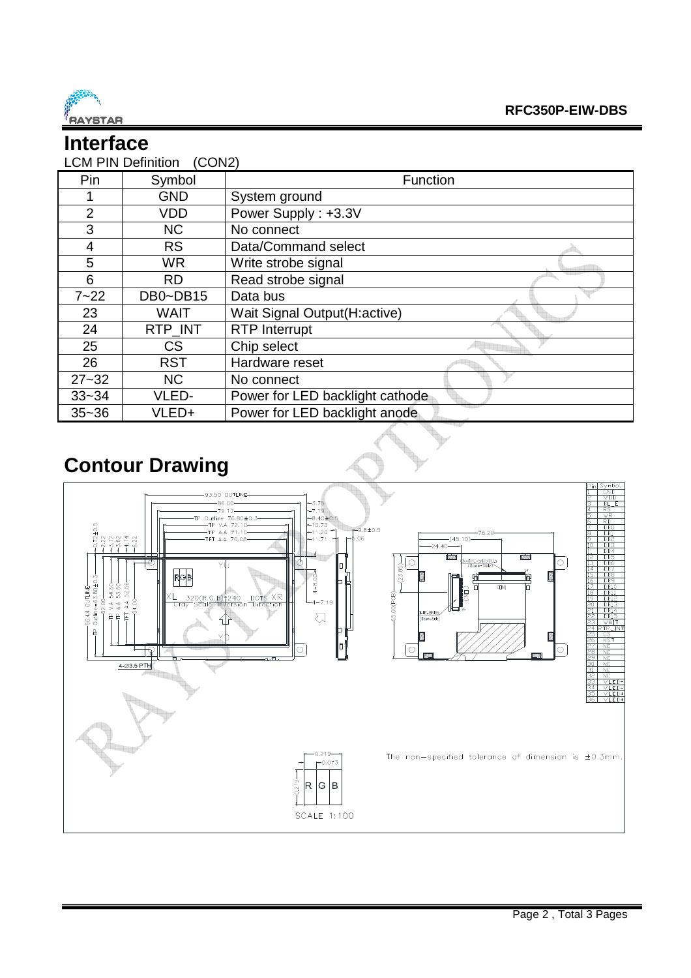

## **Interface**

| <b>LCM PIN Definition</b><br>(CON2) |             |                                 |  |  |  |  |
|-------------------------------------|-------------|---------------------------------|--|--|--|--|
| Pin                                 | Symbol      | Function                        |  |  |  |  |
|                                     | <b>GND</b>  | System ground                   |  |  |  |  |
| $\overline{2}$                      | <b>VDD</b>  | Power Supply: +3.3V             |  |  |  |  |
| 3                                   | <b>NC</b>   | No connect                      |  |  |  |  |
| 4                                   | <b>RS</b>   | Data/Command select             |  |  |  |  |
| 5                                   | <b>WR</b>   | Write strobe signal             |  |  |  |  |
| 6                                   | <b>RD</b>   | Read strobe signal              |  |  |  |  |
| $7 - 22$                            | DB0~DB15    | Data bus                        |  |  |  |  |
| 23                                  | <b>WAIT</b> | Wait Signal Output(H:active)    |  |  |  |  |
| 24                                  | RTP INT     | <b>RTP</b> Interrupt            |  |  |  |  |
| 25                                  | <b>CS</b>   | Chip select                     |  |  |  |  |
| 26                                  | <b>RST</b>  | Hardware reset                  |  |  |  |  |
| $27 - 32$                           | <b>NC</b>   | No connect                      |  |  |  |  |
| $33 - 34$                           | VLED-       | Power for LED backlight cathode |  |  |  |  |
| $35 - 36$                           | VLED+       | Power for LED backlight anode   |  |  |  |  |

## **Contour Drawing**